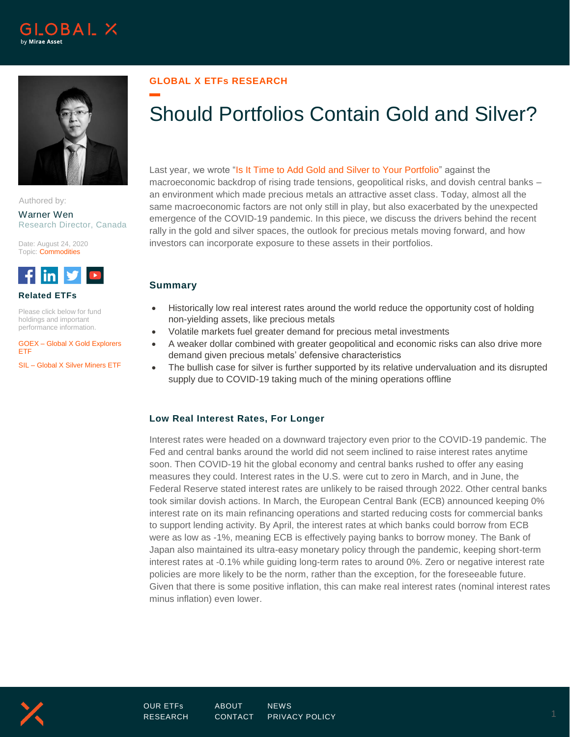



Authored by:

Warner Wen Research Director, Canada

Date: August 24, 2020 Topic: **Commodities** 



**Related ETFs**

Please click below for fund holdings and important performance information.

GOEX – [Global X Gold Explorers](https://www.globalxetfs.com/funds/goex/)  [ETF](https://www.globalxetfs.com/funds/goex/)

SIL – [Global X Silver Miners ETF](https://www.globalxetfs.com/funds/sil/)

## **GLOBAL X ETFs RESEARCH**

# Should Portfolios Contain Gold and Silver?

Last year, we wrote ["Is It Time to Add Gold and Silver to Your Portfolio"](https://www.globalxetfs.com/is-it-time-to-add-gold-and-silver-to-your-portfolio/) against the macroeconomic backdrop of rising trade tensions, geopolitical risks, and dovish central banks – an environment which made precious metals an attractive asset class. Today, almost all the same macroeconomic factors are not only still in play, but also exacerbated by the unexpected emergence of the COVID-19 pandemic. In this piece, we discuss the drivers behind the recent rally in the gold and silver spaces, the outlook for precious metals moving forward, and how investors can incorporate exposure to these assets in their portfolios.

## **Summary**

- Historically low real interest rates around the world reduce the opportunity cost of holding non-yielding assets, like precious metals
- Volatile markets fuel greater demand for precious metal investments
- A weaker dollar combined with greater geopolitical and economic risks can also drive more demand given precious metals' defensive characteristics
- The bullish case for silver is further supported by its relative undervaluation and its disrupted supply due to COVID-19 taking much of the mining operations offline

### **Low Real Interest Rates, For Longer**

Interest rates were headed on a downward trajectory even prior to the COVID-19 pandemic. The Fed and central banks around the world did not seem inclined to raise interest rates anytime soon. Then COVID-19 hit the global economy and central banks rushed to offer any easing measures they could. Interest rates in the U.S. were cut to zero in March, and in June, the Federal Reserve stated interest rates are unlikely to be raised through 2022. Other central banks took similar dovish actions. In March, the European Central Bank (ECB) announced keeping 0% interest rate on its main refinancing operations and started reducing costs for commercial banks to support lending activity. By April, the interest rates at which banks could borrow from ECB were as low as -1%, meaning ECB is effectively paying banks to borrow money. The Bank of Japan also maintained its ultra-easy monetary policy through the pandemic, keeping short-term interest rates at -0.1% while guiding long-term rates to around 0%. Zero or negative interest rate policies are more likely to be the norm, rather than the exception, for the foreseeable future. Given that there is some positive inflation, this can make real interest rates (nominal interest rates minus inflation) even lower.

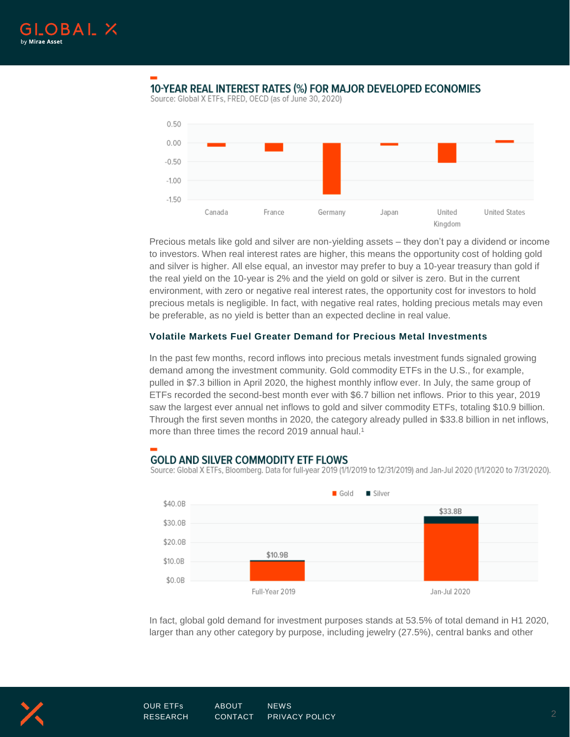

# 10-YEAR REAL INTEREST RATES (%) FOR MAJOR DEVELOPED ECONOMIES

Source: Global X ETFs, FRED, OECD (as of June 30, 2020)



Precious metals like gold and silver are non-yielding assets – they don't pay a dividend or income to investors. When real interest rates are higher, this means the opportunity cost of holding gold and silver is higher. All else equal, an investor may prefer to buy a 10-year treasury than gold if the real yield on the 10-year is 2% and the yield on gold or silver is zero. But in the current environment, with zero or negative real interest rates, the opportunity cost for investors to hold precious metals is negligible. In fact, with negative real rates, holding precious metals may even be preferable, as no yield is better than an expected decline in real value.

#### **Volatile Markets Fuel Greater Demand for Precious Metal Investments**

In the past few months, record inflows into precious metals investment funds signaled growing demand among the investment community. Gold commodity ETFs in the U.S., for example, pulled in \$7.3 billion in April 2020, the highest monthly inflow ever. In July, the same group of ETFs recorded the second-best month ever with \$6.7 billion net inflows. Prior to this year, 2019 saw the largest ever annual net inflows to gold and silver commodity ETFs, totaling \$10.9 billion. Through the first seven months in 2020, the category already pulled in \$33.8 billion in net inflows, more than three times the record 2019 annual haul.<sup>1</sup>

# **GOLD AND SILVER COMMODITY ETF FLOWS**

Source: Global X ETFs, Bloomberg. Data for full-year 2019 (1/1/2019 to 12/31/2019) and Jan-Jul 2020 (1/1/2020 to 7/31/2020).



In fact, global gold demand for investment purposes stands at 53.5% of total demand in H1 2020, larger than any other category by purpose, including jewelry (27.5%), central banks and other

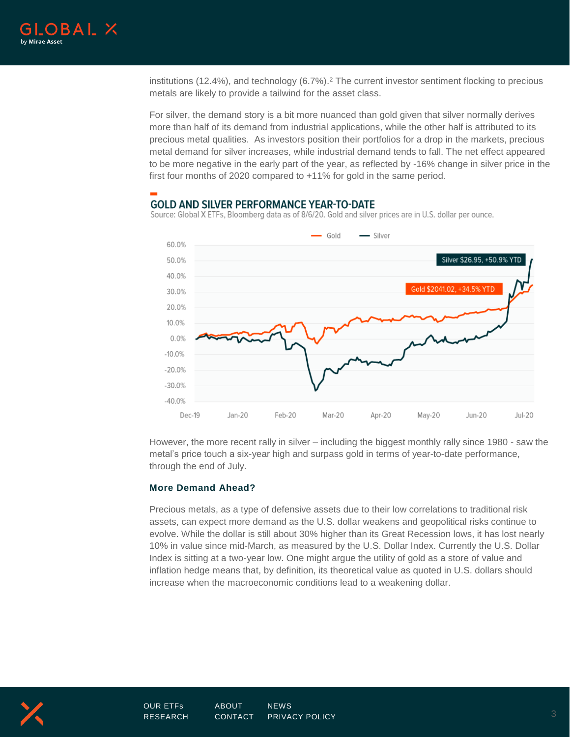

institutions (12.4%), and technology (6.7%). <sup>2</sup> The current investor sentiment flocking to precious metals are likely to provide a tailwind for the asset class.

For silver, the demand story is a bit more nuanced than gold given that silver normally derives more than half of its demand from industrial applications, while the other half is attributed to its precious metal qualities. As investors position their portfolios for a drop in the markets, precious metal demand for silver increases, while industrial demand tends to fall. The net effect appeared to be more negative in the early part of the year, as reflected by -16% change in silver price in the first four months of 2020 compared to +11% for gold in the same period.

## **GOLD AND SILVER PERFORMANCE YEAR-TO-DATE**



Source: Global X ETFs, Bloomberg data as of 8/6/20. Gold and silver prices are in U.S. dollar per ounce.

However, the more recent rally in silver – including the biggest monthly rally since 1980 - saw the metal's price touch a six-year high and surpass gold in terms of year-to-date performance, through the end of July.

#### **More Demand Ahead?**

Precious metals, as a type of defensive assets due to their low correlations to traditional risk assets, can expect more demand as the U.S. dollar weakens and geopolitical risks continue to evolve. While the dollar is still about 30% higher than its Great Recession lows, it has lost nearly 10% in value since mid-March, as measured by the U.S. Dollar Index. Currently the U.S. Dollar Index is sitting at a two-year low. One might argue the utility of gold as a store of value and inflation hedge means that, by definition, its theoretical value as quoted in U.S. dollars should increase when the macroeconomic conditions lead to a weakening dollar.

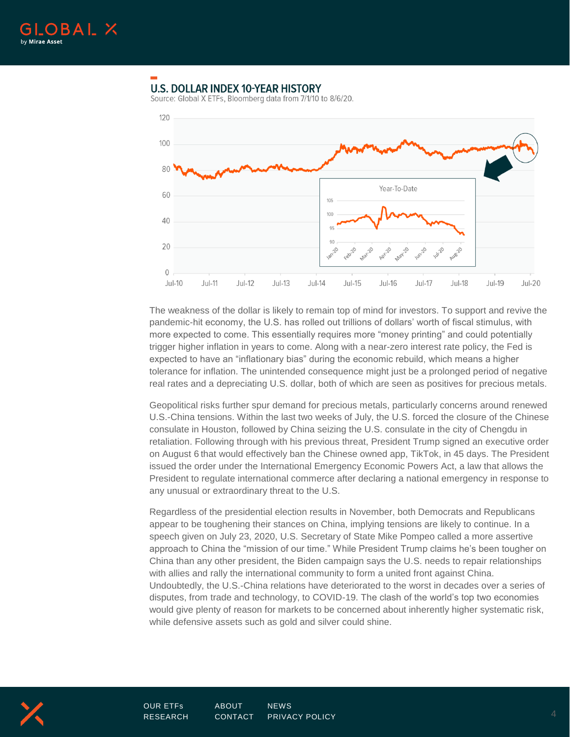

# **U.S. DOLLAR INDEX 10-YEAR HISTORY**

Source: Global X ETFs, Bloomberg data from 7/1/10 to 8/6/20.



The weakness of the dollar is likely to remain top of mind for investors. To support and revive the pandemic-hit economy, the U.S. has rolled out trillions of dollars' worth of fiscal stimulus, with more expected to come. This essentially requires more "money printing" and could potentially trigger higher inflation in years to come. Along with a near-zero interest rate policy, the Fed is expected to have an "inflationary bias" during the economic rebuild, which means a higher tolerance for inflation. The unintended consequence might just be a prolonged period of negative real rates and a depreciating U.S. dollar, both of which are seen as positives for precious metals.

Geopolitical risks further spur demand for precious metals, particularly concerns around renewed U.S.-China tensions. Within the last two weeks of July, the U.S. forced the closure of the Chinese consulate in Houston, followed by China seizing the U.S. consulate in the city of Chengdu in retaliation. Following through with his previous threat, President Trump signed an executive order on August 6 that would effectively ban the Chinese owned app, TikTok, in 45 days. The President issued the order under the International Emergency Economic Powers Act, a law that allows the President to regulate international commerce after declaring a national emergency in response to any unusual or extraordinary threat to the U.S.

Regardless of the presidential election results in November, both Democrats and Republicans appear to be toughening their stances on China, implying tensions are likely to continue. In a speech given on July 23, 2020, U.S. Secretary of State Mike Pompeo called a more assertive approach to China the "mission of our time." While President Trump claims he's been tougher on China than any other president, the Biden campaign says the U.S. needs to repair relationships with allies and rally the international community to form a united front against China. Undoubtedly, the U.S.-China relations have deteriorated to the worst in decades over a series of disputes, from trade and technology, to COVID-19. The clash of the world's top two economies would give plenty of reason for markets to be concerned about inherently higher systematic risk, while defensive assets such as gold and silver could shine.

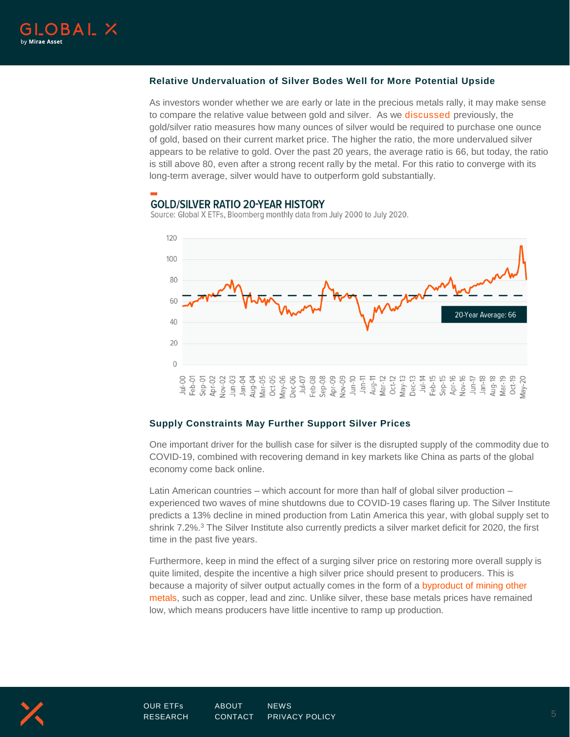

#### **Relative Undervaluation of Silver Bodes Well for More Potential Upside**

As investors wonder whether we are early or late in the precious metals rally, it may make sense to compare the relative value between gold and silver. As we [discussed](https://www.globalxetfs.com/silver-explained/) previously, the gold/silver ratio measures how many ounces of silver would be required to purchase one ounce of gold, based on their current market price. The higher the ratio, the more undervalued silver appears to be relative to gold. Over the past 20 years, the average ratio is 66, but today, the ratio is still above 80, even after a strong recent rally by the metal. For this ratio to converge with its long-term average, silver would have to outperform gold substantially.

## **GOLD/SILVER RATIO 20-YEAR HISTORY**

Source: Global X ETFs, Bloomberg monthly data from July 2000 to July 2020.



#### **Supply Constraints May Further Support Silver Prices**

One important driver for the bullish case for silver is the disrupted supply of the commodity due to COVID-19, combined with recovering demand in key markets like China as parts of the global economy come back online.

Latin American countries – which account for more than half of global silver production – experienced two waves of mine shutdowns due to COVID-19 cases flaring up. The Silver Institute predicts a 13% decline in mined production from Latin America this year, with global supply set to shrink 7.2%.<sup>3</sup> The Silver Institute also currently predicts a silver market deficit for 2020, the first time in the past five years.

Furthermore, keep in mind the effect of a surging silver price on restoring more overall supply is quite limited, despite the incentive a high silver price should present to producers. This is because a majority of silver output actually comes in the form of a [byproduct of mining other](https://www.globalxetfs.com/silver-explained/)  [metals,](https://www.globalxetfs.com/silver-explained/) such as copper, lead and zinc. Unlike silver, these base metals prices have remained low, which means producers have little incentive to ramp up production.

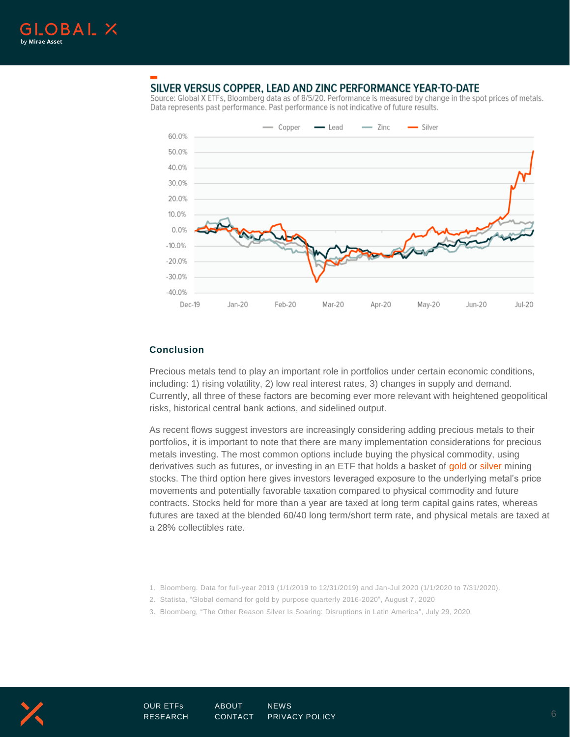

# SILVER VERSUS COPPER, LEAD AND ZINC PERFORMANCE YEAR-TO-DATE

Source: Global X ETFs, Bloomberg data as of 8/5/20. Performance is measured by change in the spot prices of metals. Data represents past performance. Past performance is not indicative of future results.



#### **Conclusion**

Precious metals tend to play an important role in portfolios under certain economic conditions, including: 1) rising volatility, 2) low real interest rates, 3) changes in supply and demand. Currently, all three of these factors are becoming ever more relevant with heightened geopolitical risks, historical central bank actions, and sidelined output.

As recent flows suggest investors are increasingly considering adding precious metals to their portfolios, it is important to note that there are many implementation considerations for precious metals investing. The most common options include buying the physical commodity, using derivatives such as futures, or investing in an ETF that holds a basket of [gold](https://www.globalxetfs.com/funds/goex/) or [silver](https://www.globalxetfs.com/funds/sil/) mining stocks. The third option here gives investors leveraged exposure to the underlying metal's price movements and potentially favorable taxation compared to physical commodity and future contracts. Stocks held for more than a year are taxed at long term capital gains rates, whereas futures are taxed at the blended 60/40 long term/short term rate, and physical metals are taxed at a 28% collectibles rate.

- 1. Bloomberg. Data for full-year 2019 (1/1/2019 to 12/31/2019) and Jan-Jul 2020 (1/1/2020 to 7/31/2020).
- 2. Statista, "Global demand for gold by purpose quarterly 2016-2020", August 7, 2020
- 3. Bloomberg, "The Other Reason Silver Is Soaring: Disruptions in Latin America", July 29, 2020